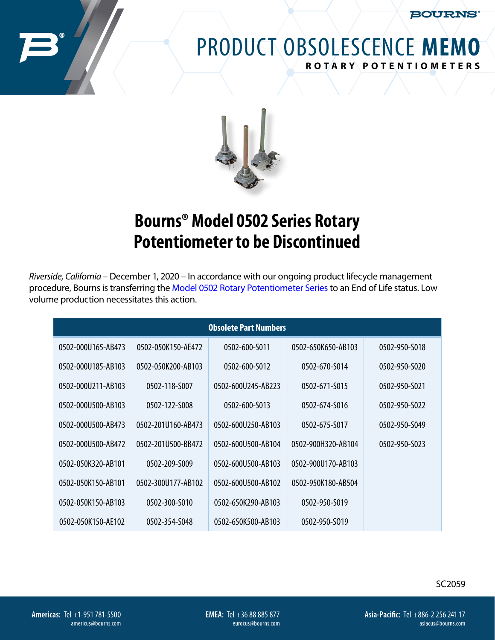**BOURNS®** 

## PRODUCT OBSOLESCENCE **MEMO ROTARY POTENTIOMETERS**



## **Bourns® Model 0502 Series Rotary Potentiometer to be Discontinued**

*Riverside, California* – December 1, 2020 – In accordance with our ongoing product lifecycle management procedure, Bourns is transferring the [Model 0502 Rotary Potentiometer Series](https://www.bourns.com/docs/product-datasheets/0502.pdf) to an End of Life status. Low volume production necessitates this action.

| <b>Obsolete Part Numbers</b> |                    |                    |                    |               |
|------------------------------|--------------------|--------------------|--------------------|---------------|
| 0502-000U165-AB473           | 0502-050K150-AE472 | 0502-600-S011      | 0502-650K650-AB103 | 0502-950-S018 |
| 0502-000U185-AB103           | 0502-050K200-AB103 | 0502-600-5012      | 0502-670-S014      | 0502-950-5020 |
| 0502-000U211-AB103           | 0502-118-5007      | 0502-600U245-AB223 | 0502-671-5015      | 0502-950-5021 |
| 0502-000U500-AB103           | 0502-122-S008      | 0502-600-S013      | 0502-674-5016      | 0502-950-S022 |
| 0502-000U500-AB473           | 0502-201U160-AB473 | 0502-600U250-AB103 | 0502-675-5017      | 0502-950-5049 |
| 0502-000U500-AB472           | 0502-201U500-BB472 | 0502-600U500-AB104 | 0502-900H320-AB104 | 0502-950-S023 |
| 0502-050K320-AB101           | 0502-209-5009      | 0502-600U500-AB103 | 0502-900U170-AB103 |               |
| 0502-050K150-AB101           | 0502-300U177-AB102 | 0502-600U500-AB102 | 0502-950K180-AB504 |               |
| 0502-050K150-AB103           | 0502-300-S010      | 0502-650K290-AB103 | 0502-950-S019      |               |
| 0502-050K150-AE102           | 0502-354-5048      | 0502-650K500-AB103 | 0502-950-S019      |               |

SC2059